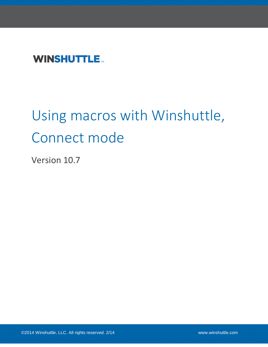# **WINSHUTTLE**

# Using macros with Winshuttle, Connect mode

Version 10.7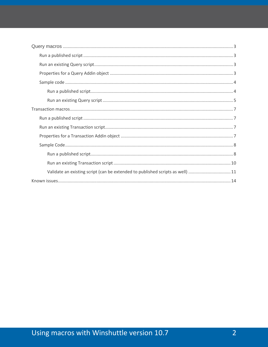| Validate an existing script (can be extended to published scripts as well) 11 |
|-------------------------------------------------------------------------------|
|                                                                               |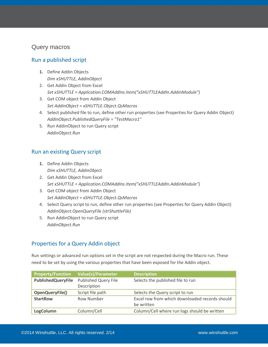#### <span id="page-2-0"></span>Query macros

#### <span id="page-2-1"></span>Run a published script

- **1.** Define Addin Objects *Dim xSHUTTLE, AddinObject*
- 2. Get Addin Object from Excel *Set xSHUTTLE = Application.COMAddIns.Item("xSHUTTLEAddIn.AddinModule")*
- 3. Get COM object from Addin Object *Set AddinObject = xSHUTTLE.Object.QsMacros*
- 4. Select published file to run, define other run properties (see Properties for Query Addin Object) *AddinObject.PublishedQueryFile = "TestMacro1"*
- 5. Run AddinObject to run Query script *AddinObject.Run*

#### <span id="page-2-2"></span>Run an existing Query script

- **1.** Define Addin Objects *Dim xSHUTTLE, AddinObject*
- 2. Get Addin Object from Excel *Set xSHUTTLE = Application.COMAddIns.Item("xSHUTTLEAddIn.AddinModule")*
- 3. Get COM object from Addin Object *Set AddinObject = xSHUTTLE.Object.QsMacros*
- 4. Select Query script to run, define other run properties (see Properties for Query Addin Object) *AddinObject.OpenQueryFile (strShuttleFile)*
- 5. Run AddinObject to run Query script *AddinObject.Run*

#### <span id="page-2-3"></span>Properties for a Query Addin object

Run settings or advanced run options set in the script are not respected during the Macro run. These need to be set by using the various properties that have been exposed for the Addin object.

| <b>Property/Function</b>  | <b>Value(s)/Parameter</b>           | <b>Description</b>                                           |
|---------------------------|-------------------------------------|--------------------------------------------------------------|
| <b>PublishedQueryFile</b> | Published Query File<br>Description | Selects the published file to run                            |
| OpenQueryFile()           | Script file path                    | Selects the Query script to run                              |
| <b>StartRow</b>           | <b>Row Number</b>                   | Excel row from which downloaded records should<br>be written |
| LogColumn                 | Column/Cell                         | Column/Cell where run logs should be written                 |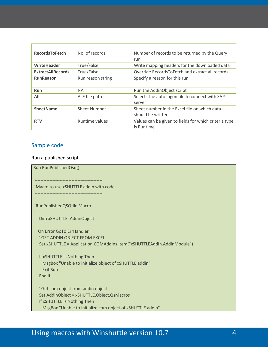| <b>RecordsToFetch</b>    | No. of records    | Number of records to be returned by the Query         |
|--------------------------|-------------------|-------------------------------------------------------|
|                          |                   | run                                                   |
| WriteHeader              | True/False        | Write mapping headers for the downloaded data         |
| <b>ExtractAllRecords</b> | True/False        | Override RecordsToFetch and extract all records       |
| <b>RunReason</b>         | Run reason string | Specify a reason for this run                         |
|                          |                   |                                                       |
| <b>Run</b>               | <b>NA</b>         | Run the AddinObject script                            |
| Alf                      | ALF file path     | Selects the auto logon file to connect with SAP       |
|                          |                   | server                                                |
| <b>SheetName</b>         | Sheet Number      | Sheet number in the Excel file on which data          |
|                          |                   | should be written                                     |
| <b>RTV</b>               | Runtime values    | Values can be given to fields for which criteria type |
|                          |                   | is Runtime                                            |

#### <span id="page-3-0"></span>Sample code

#### <span id="page-3-1"></span>Run a published script

Sub RunPublishedQsq() '---------------------------------------------- ' Macro to use xSHUTTLE addin with code '---------------------------------------------- ' RunPublishedQSQfile Macro Dim xSHUTTLE, AddinObject On Error GoTo ErrHandler ' GET ADDIN OBJECT FROM EXCEL Set xSHUTTLE = Application.COMAddIns.Item("xSHUTTLEAddIn.AddinModule") If xSHUTTLE Is Nothing Then MsgBox "Unable to initialize object of xSHUTTLE addin" Exit Sub End If ' Get com object from addin object Set AddinObject = xSHUTTLE.Object.QsMacros If xSHUTTLE Is Nothing Then MsgBox "Unable to initialize com object of xSHUTTLE addin"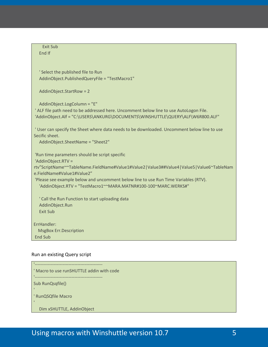Exit Sub End If ' Select the published file to Run AddinObject.PublishedQueryFile = "TestMacro1" AddinObject.StartRow = 2 AddinObject.LogColumn = "E" ' ALF file path need to be addressed here. Uncomment below line to use AutoLogon File. 'AddinObject.Alf = "C:\USERS\ANKURG\DOCUMENTS\WINSHUTTLE\QUERY\ALF\W6R800.ALF" ' User can specify the Sheet where data needs to be downloaded. Uncomment below line to use Secific sheet. AddinObject.SheetName = "Sheet2" 'Run time parameters should be script specific 'AddinObject.RTV = rtv"ScriptName~~TableName.FieldName#Value1#Value2|Value3##Value4|Value5|Value6~TableNam e.FieldName#Value1#Value2" 'Please see example below and uncomment below line to use Run Time Variables (RTV). 'AddinObject.RTV = "TestMacro1~~MARA.MATNR#100-100~MARC.WERKS#" ' Call the Run Function to start uploading data AddinObject.Run Exit Sub ErrHandler: MsgBox Err.Description End Sub

#### <span id="page-4-0"></span>Run an existing Query script

'---------------------------------------------- ' Macro to use runSHUTTLE addin with code '---------------------------------------------- Sub RunQsqfile() ' RunQSQfile Macro Dim xSHUTTLE, AddinObject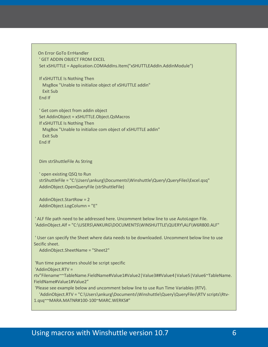```
 On Error GoTo ErrHandler
 ' GET ADDIN OBJECT FROM EXCEL
 Set xSHUTTLE = Application.COMAddIns.Item("xSHUTTLEAddIn.AddinModule")
```

```
 If xSHUTTLE Is Nothing Then
  MsgBox "Unable to initialize object of xSHUTTLE addin"
  Exit Sub
 End If
```

```
 ' Get com object from addin object
 Set AddinObject = xSHUTTLE.Object.QsMacros
 If xSHUTTLE Is Nothing Then
  MsgBox "Unable to initialize com object of xSHUTTLE addin"
  Exit Sub
 End If
```
Dim strShuttleFile As String

```
 ' open existing QSQ to Run
 strShuttleFile = "C:\Users\ankurg\Documents\Winshuttle\Query\QueryFiles\Excel.qsq"
 AddinObject.OpenQueryFile (strShuttleFile)
```

```
 AddinObject.StartRow = 2
 AddinObject.LogColumn = "E"
```
' ALF file path need to be addressed here. Uncomment below line to use AutoLogon File. 'AddinObject.Alf = "C:\USERS\ANKURG\DOCUMENTS\WINSHUTTLE\QUERY\ALF\W6R800.ALF"

' User can specify the Sheet where data needs to be downloaded. Uncomment below line to use Secific sheet.

```
 AddinObject.SheetName = "Sheet2"
```
'Run time parameters should be script specific

'AddinObject.RTV =

rtv"Filename~~TableName.FieldName#Value1#Value2|Value3##Value4|Value5|Value6~TableName. FieldName#Value1#Value2"

'Please see example below and uncomment below line to use Run Time Variables (RTV).

 'AddinObject.RTV = "C:\Users\ankurg\Documents\Winshuttle\Query\QueryFiles\RTV scripts\Rtv-1.qsq~~MARA.MATNR#100-100~MARC.WERKS#"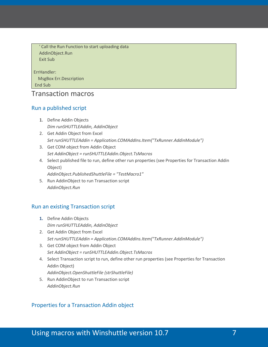' Call the Run Function to start uploading data AddinObject.Run Exit Sub

ErrHandler:

 MsgBox Err.Description End Sub

#### <span id="page-6-0"></span>Transaction macros

#### <span id="page-6-1"></span>Run a published script

- 1. Define Addin Objects *Dim runSHUTTLEAddin, AddinObject*
- 2. Get Addin Object from Excel *Set runSHUTTLEAddin = Application.COMAddIns.Item("TxRunner.AddinModule")*
- 3. Get COM object from Addin Object *Set AddinObject = runSHUTTLEAddin.Object.TsMacros*
- 4. Select published file to run, define other run properties (see Properties for Transaction Addin Object)

*AddinObject.PublishedShuttleFile = "TestMacro1"*

5. Run AddinObject to run Transaction script *AddinObject.Run*

#### <span id="page-6-2"></span>Run an existing Transaction script

- **1.** Define Addin Objects *Dim runSHUTTLEAddin, AddinObject*
- 2. Get Addin Object from Excel *Set runSHUTTLEAddin = Application.COMAddIns.Item("TxRunner.AddinModule")*
- 3. Get COM object from Addin Object *Set AddinObject = runSHUTTLEAddin.Object.TsMacros*
- 4. Select Transaction script to run, define other run properties (see Properties for Transaction Addin Object)
	- *AddinObject.OpenShuttleFile (strShuttleFile)*
- 5. Run AddinObject to run Transaction script *AddinObject.Run*

#### <span id="page-6-3"></span>Properties for a Transaction Addin object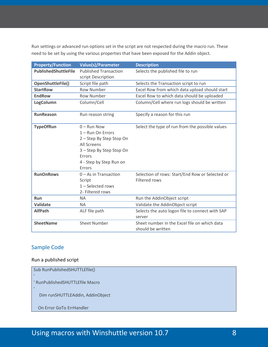Run settings or advanced run options set in the script are not respected during the macro run. These need to be set by using the various properties that have been exposed for the Addin object.

| <b>Property/Function</b> | <b>Value(s)/Parameter</b>                                                                                                                                | <b>Description</b>                                                |
|--------------------------|----------------------------------------------------------------------------------------------------------------------------------------------------------|-------------------------------------------------------------------|
| PublishedShuttleFile     | <b>Published Transaction</b>                                                                                                                             | Selects the published file to run                                 |
|                          | script Description                                                                                                                                       |                                                                   |
| OpenShuttleFile()        | Script file path                                                                                                                                         | Selects the Transaction script to run                             |
| <b>StartRow</b>          | <b>Row Number</b>                                                                                                                                        | Excel Row from which data upload should start                     |
| <b>EndRow</b>            | <b>Row Number</b>                                                                                                                                        | Excel Row to which data should be uploaded                        |
| LogColumn                | Column/Cell                                                                                                                                              | Column/Cell where run logs should be written                      |
| <b>RunReason</b>         | Run reason string                                                                                                                                        | Specify a reason for this run                                     |
| <b>TypeOfRun</b>         | $0 -$ Run Now<br>1 - Run On Errors<br>2 - Step By Step Stop On<br>All Screens<br>3 - Step By Step Stop On<br>Errors<br>4 - Step by Step Run on<br>Errors | Select the type of run from the possible values                   |
| <b>RunOnRows</b>         | $0 - As$ in Transaction<br>Script<br>$1 -$ Selected rows<br>2- Filtered rows                                                                             | Selection of rows: Start/End Row or Selected or<br>Filtered rows  |
| <b>Run</b>               | <b>NA</b>                                                                                                                                                | Run the AddinObject script                                        |
| <b>Validate</b>          | <b>NA</b>                                                                                                                                                | Validate the AddinObject script                                   |
| <b>AlfPath</b>           | ALF file path                                                                                                                                            | Selects the auto logon file to connect with SAP<br>server         |
| <b>SheetName</b>         | <b>Sheet Number</b>                                                                                                                                      | Sheet number in the Excel file on which data<br>should be written |

#### <span id="page-7-0"></span>Sample Code

#### <span id="page-7-1"></span>Run a published script

| Sub RunPublishedSHUTTLEfile()    |  |
|----------------------------------|--|
| ' RunPublishedSHUTTLEfile Macro  |  |
| Dim runSHUTTLEAddin, AddinObject |  |
|                                  |  |
| On Error GoTo ErrHandler         |  |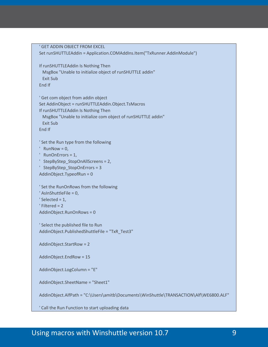```
 ' GET ADDIN OBJECT FROM EXCEL
 Set runSHUTTLEAddin = Application.COMAddIns.Item("TxRunner.AddinModule")
 If runSHUTTLEAddin Is Nothing Then
  MsgBox "Unable to initialize object of runSHUTTLE addin"
  Exit Sub
 End If
 ' Get com object from addin object
 Set AddinObject = runSHUTTLEAddin.Object.TsMacros
 If runSHUTTLEAddin Is Nothing Then
  MsgBox "Unable to initialize com object of runSHUTTLE addin"
  Exit Sub
 End If
 ' Set the Run type from the following
' RunNow = 0,
 ' RunOnErrors = 1,
 ' StepByStep_StopOnAllScreens = 2,
 ' StepByStep_StopOnErrors = 3
 AddinObject.TypeofRun = 0
 ' Set the RunOnRows from the following
 ' AsInShuttleFile = 0,
' Selected = 1,
 ' Filtered = 2
 AddinObject.RunOnRows = 0
 ' Select the published file to Run
 AddinObject.PublishedShuttleFile = "TxR_Test3"
 AddinObject.StartRow = 2
 AddinObject.EndRow = 15
 AddinObject.LogColumn = "E"
 AddinObject.SheetName = "Sheet1"
 AddinObject.AlfPath = "C:\Users\amitb\Documents\WinShuttle\TRANSACTION\Alf\WE6800.ALF"
```
' Call the Run Function to start uploading data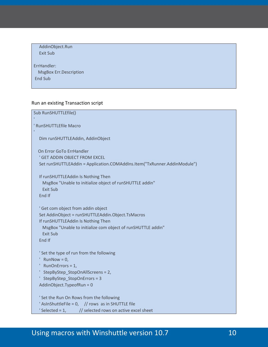```
 AddinObject.Run
   Exit Sub
ErrHandler:
   MsgBox Err.Description
End Sub
```
#### <span id="page-9-0"></span>Run an existing Transaction script

```
Sub RunSHUTTLEfile()
' RunSHUTTLEfile Macro
   Dim runSHUTTLEAddin, AddinObject
   On Error GoTo ErrHandler
   ' GET ADDIN OBJECT FROM EXCEL
   Set runSHUTTLEAddin = Application.COMAddIns.Item("TxRunner.AddinModule")
   If runSHUTTLEAddin Is Nothing Then
     MsgBox "Unable to initialize object of runSHUTTLE addin"
     Exit Sub
   End If
    ' Get com object from addin object
   Set AddinObject = runSHUTTLEAddin.Object.TsMacros
   If runSHUTTLEAddin Is Nothing Then
     MsgBox "Unable to initialize com object of runSHUTTLE addin"
     Exit Sub
   End If
   ' Set the type of run from the following
   ' RunNow = 0,
    ' RunOnErrors = 1,
   ' StepByStep_StopOnAllScreens = 2,
   ' StepByStep_StopOnErrors = 3
   AddinObject.TypeofRun = 0
    ' Set the Run On Rows from the following
  ' AsInShuttleFile = 0, // rows as in SHUTTLE file
   \text{Selected} = 1, \text{ } // \text{selected rows on active Excel sheet}
```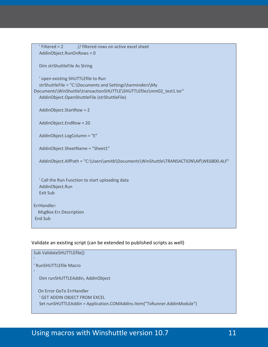| $'$ Filtered = 2<br>AddinObject.RunOnRows = 0                  | // filtered rows on active excel sheet                                                                                                                                            |
|----------------------------------------------------------------|-----------------------------------------------------------------------------------------------------------------------------------------------------------------------------------|
| Dim strShuttleFile As String                                   |                                                                                                                                                                                   |
| ' open existing SHUTTLEfile to Run                             | strShuttleFile = "C:\Documents and Settings\harminders\My<br>Documents\WinShuttle\transactionSHUTTLE\SHUTTLEfiles\mm02_test1.txr"<br>AddinObject.OpenShuttleFile (strShuttleFile) |
| AddinObject.StartRow = 2                                       |                                                                                                                                                                                   |
| AddinObject.EndRow = 20                                        |                                                                                                                                                                                   |
| AddinObject.LogColumn = "E"                                    |                                                                                                                                                                                   |
|                                                                | AddinObject.SheetName = "Sheet1"                                                                                                                                                  |
|                                                                | AddinObject.AlfPath = "C:\Users\amitb\Documents\WinShuttle\TRANSACTION\Alf\WE6800.ALF"                                                                                            |
| AddinObject.Run<br><b>Exit Sub</b>                             | ' Call the Run Function to start uploading data                                                                                                                                   |
| ErrHandler:<br><b>MsgBox Err.Description</b><br><b>End Sub</b> |                                                                                                                                                                                   |

#### <span id="page-10-0"></span>Validate an existing script (can be extended to published scripts as well)

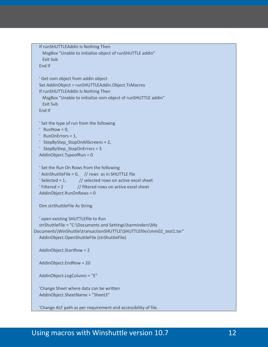```
 If runSHUTTLEAddin Is Nothing Then
     MsgBox "Unable to initialize object of runSHUTTLE addin"
     Exit Sub
   End If
   ' Get com object from addin object
   Set AddinObject = runSHUTTLEAddin.Object.TsMacros
   If runSHUTTLEAddin Is Nothing Then
     MsgBox "Unable to initialize com object of runSHUTTLE addin"
     Exit Sub
   End If
   ' Set the type of run from the following
  ' RunNow = 0,
   ' RunOnErrors = 1,
   ' StepByStep_StopOnAllScreens = 2,
   ' StepByStep_StopOnErrors = 3
   AddinObject.TypeofRun = 0
   ' Set the Run On Rows from the following
  ' AsInShuttleFile = 0, // rows as in SHUTTLE file
  \text{°Selected} = 1, \text{°} // selected rows on active excel sheet
   ' Filtered = 2 // filtered rows on active excel sheet
   AddinObject.RunOnRows = 0
   Dim strShuttleFile As String
   ' open existing SHUTTLEfile to Run
   strShuttleFile = "C:\Documents and Settings\harminders\My 
Documents\WinShuttle\transactionSHUTTLE\SHUTTLEfiles\mm02_test1.txr"
   AddinObject.OpenShuttleFile (strShuttleFile)
   AddinObject.StartRow = 2
   AddinObject.EndRow = 20
   AddinObject.LogColumn = "E"
   'Change Sheet where data can be written
   AddinObject.SheetName = "Sheet3"
   'Change ALF path as per requirement and accessibility of file.
```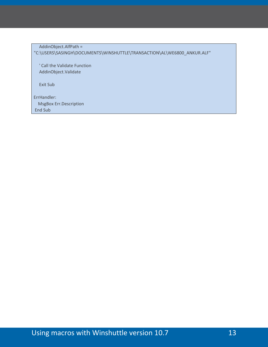AddinObject.AlfPath = "C:\USERS\SASINGH\DOCUMENTS\WINSHUTTLE\TRANSACTION\AL\WE6800\_ANKUR.ALF"

 ' Call the Validate Function AddinObject.Validate

Exit Sub

ErrHandler: MsgBox Err.Description End Sub